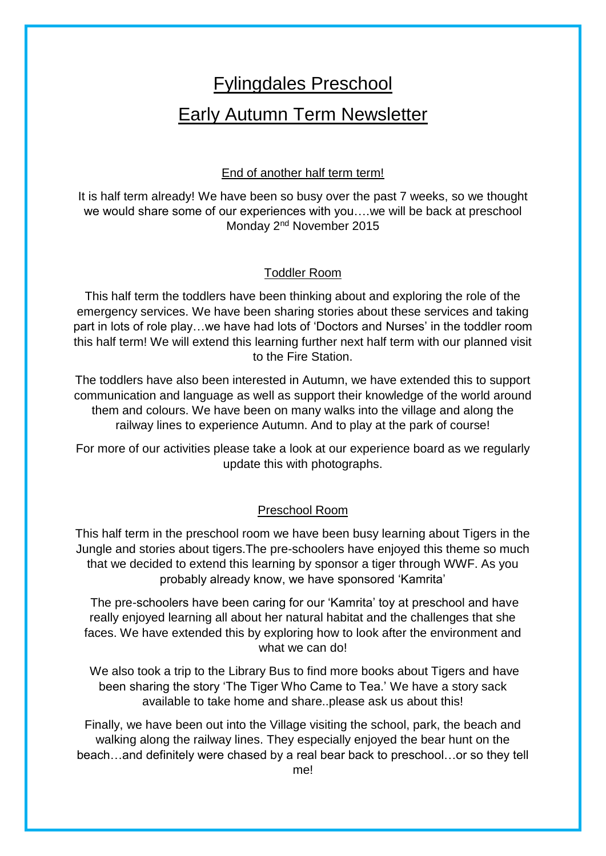# Fylingdales Preschool Early Autumn Term Newsletter

## End of another half term term!

It is half term already! We have been so busy over the past 7 weeks, so we thought we would share some of our experiences with you….we will be back at preschool Monday 2<sup>nd</sup> November 2015

## Toddler Room

This half term the toddlers have been thinking about and exploring the role of the emergency services. We have been sharing stories about these services and taking part in lots of role play…we have had lots of 'Doctors and Nurses' in the toddler room this half term! We will extend this learning further next half term with our planned visit to the Fire Station.

The toddlers have also been interested in Autumn, we have extended this to support communication and language as well as support their knowledge of the world around them and colours. We have been on many walks into the village and along the railway lines to experience Autumn. And to play at the park of course!

For more of our activities please take a look at our experience board as we regularly update this with photographs.

## Preschool Room

This half term in the preschool room we have been busy learning about Tigers in the Jungle and stories about tigers.The pre-schoolers have enjoyed this theme so much that we decided to extend this learning by sponsor a tiger through WWF. As you probably already know, we have sponsored 'Kamrita'

The pre-schoolers have been caring for our 'Kamrita' toy at preschool and have really enjoyed learning all about her natural habitat and the challenges that she faces. We have extended this by exploring how to look after the environment and what we can do!

We also took a trip to the Library Bus to find more books about Tigers and have been sharing the story 'The Tiger Who Came to Tea.' We have a story sack available to take home and share..please ask us about this!

Finally, we have been out into the Village visiting the school, park, the beach and walking along the railway lines. They especially enjoyed the bear hunt on the beach…and definitely were chased by a real bear back to preschool…or so they tell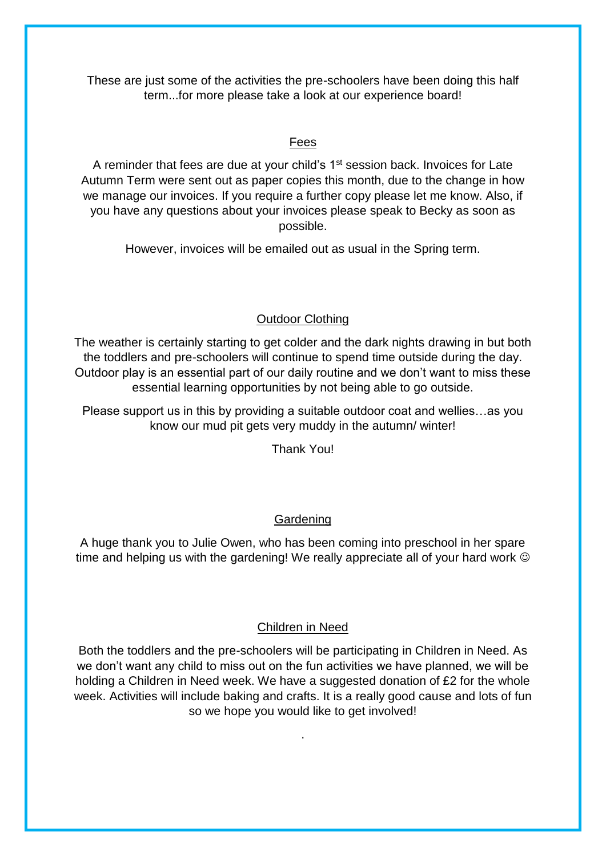These are just some of the activities the pre-schoolers have been doing this half term...for more please take a look at our experience board!

# Fees

A reminder that fees are due at your child's 1<sup>st</sup> session back. Invoices for Late Autumn Term were sent out as paper copies this month, due to the change in how we manage our invoices. If you require a further copy please let me know. Also, if you have any questions about your invoices please speak to Becky as soon as possible.

However, invoices will be emailed out as usual in the Spring term.

# Outdoor Clothing

The weather is certainly starting to get colder and the dark nights drawing in but both the toddlers and pre-schoolers will continue to spend time outside during the day. Outdoor play is an essential part of our daily routine and we don't want to miss these essential learning opportunities by not being able to go outside.

Please support us in this by providing a suitable outdoor coat and wellies…as you know our mud pit gets very muddy in the autumn/ winter!

Thank You!

# Gardening

A huge thank you to Julie Owen, who has been coming into preschool in her spare time and helping us with the gardening! We really appreciate all of your hard work  $\odot$ 

# Children in Need

Both the toddlers and the pre-schoolers will be participating in Children in Need. As we don't want any child to miss out on the fun activities we have planned, we will be holding a Children in Need week. We have a suggested donation of £2 for the whole week. Activities will include baking and crafts. It is a really good cause and lots of fun so we hope you would like to get involved!

.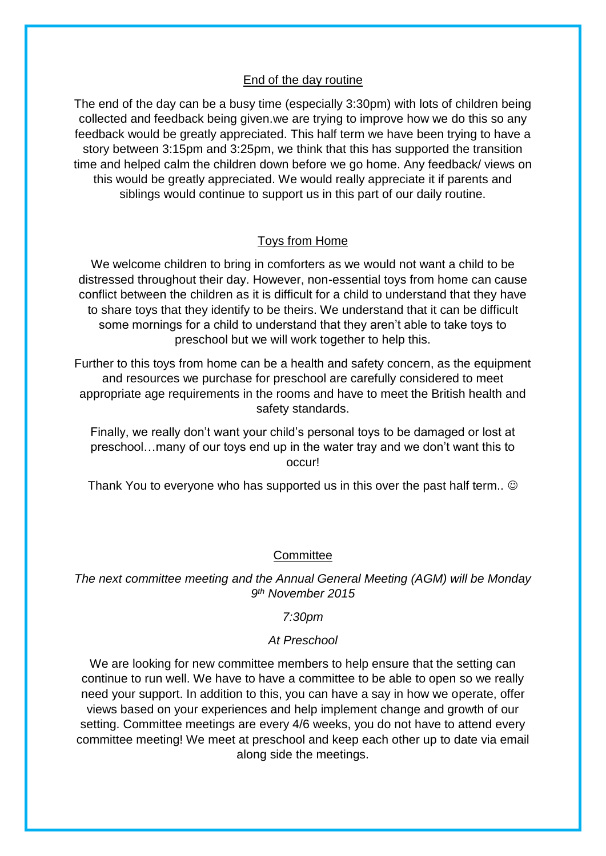#### End of the day routine

The end of the day can be a busy time (especially 3:30pm) with lots of children being collected and feedback being given.we are trying to improve how we do this so any feedback would be greatly appreciated. This half term we have been trying to have a story between 3:15pm and 3:25pm, we think that this has supported the transition time and helped calm the children down before we go home. Any feedback/ views on this would be greatly appreciated. We would really appreciate it if parents and siblings would continue to support us in this part of our daily routine.

## Toys from Home

We welcome children to bring in comforters as we would not want a child to be distressed throughout their day. However, non-essential toys from home can cause conflict between the children as it is difficult for a child to understand that they have to share toys that they identify to be theirs. We understand that it can be difficult some mornings for a child to understand that they aren't able to take toys to preschool but we will work together to help this.

Further to this toys from home can be a health and safety concern, as the equipment and resources we purchase for preschool are carefully considered to meet appropriate age requirements in the rooms and have to meet the British health and safety standards.

Finally, we really don't want your child's personal toys to be damaged or lost at preschool…many of our toys end up in the water tray and we don't want this to occur!

Thank You to everyone who has supported us in this over the past half term..  $\odot$ 

## **Committee**

*The next committee meeting and the Annual General Meeting (AGM) will be Monday 9 th November 2015* 

## *7:30pm*

## *At Preschool*

We are looking for new committee members to help ensure that the setting can continue to run well. We have to have a committee to be able to open so we really need your support. In addition to this, you can have a say in how we operate, offer views based on your experiences and help implement change and growth of our setting. Committee meetings are every 4/6 weeks, you do not have to attend every committee meeting! We meet at preschool and keep each other up to date via email along side the meetings.